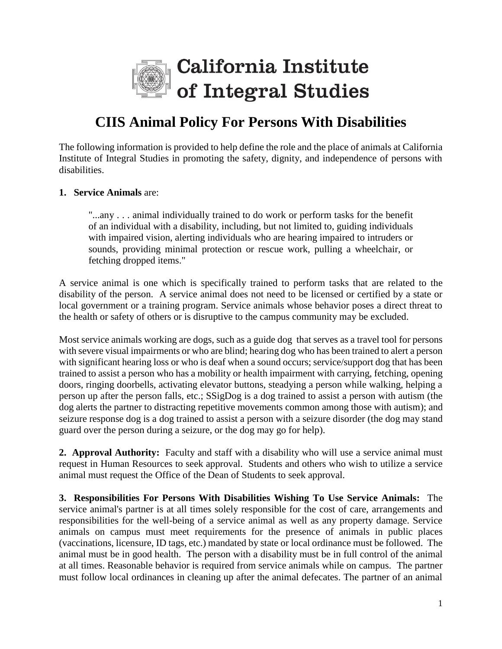

## **CIIS Animal Policy For Persons With Disabilities**

The following information is provided to help define the role and the place of animals at California Institute of Integral Studies in promoting the safety, dignity, and independence of persons with disabilities.

## **1. Service Animals** are:

"...any . . . animal individually trained to do work or perform tasks for the benefit of an individual with a disability, including, but not limited to, guiding individuals with impaired vision, alerting individuals who are hearing impaired to intruders or sounds, providing minimal protection or rescue work, pulling a wheelchair, or fetching dropped items."

A service animal is one which is specifically trained to perform tasks that are related to the disability of the person. A service animal does not need to be licensed or certified by a state or local government or a training program. Service animals whose behavior poses a direct threat to the health or safety of others or is disruptive to the campus community may be excluded.

Most service animals working are dogs, such as a guide dog that serves as a travel tool for persons with severe visual impairments or who are blind; hearing dog who has been trained to alert a person with significant hearing loss or who is deaf when a sound occurs; service/support dog that has been trained to assist a person who has a mobility or health impairment with carrying, fetching, opening doors, ringing doorbells, activating elevator buttons, steadying a person while walking, helping a person up after the person falls, etc.; SSigDog is a dog trained to assist a person with autism (the dog alerts the partner to distracting repetitive movements common among those with autism); and seizure response dog is a dog trained to assist a person with a seizure disorder (the dog may stand guard over the person during a seizure, or the dog may go for help).

**2. Approval Authority:** Faculty and staff with a disability who will use a service animal must request in Human Resources to seek approval.Students and others who wish to utilize a service animal must request the Office of the Dean of Students to seek approval.

**3. Responsibilities For Persons With Disabilities Wishing To Use Service Animals:** The service animal's partner is at all times solely responsible for the cost of care, arrangements and responsibilities for the well-being of a service animal as well as any property damage. Service animals on campus must meet requirements for the presence of animals in public places (vaccinations, licensure, ID tags, etc.) mandated by state or local ordinance must be followed. The animal must be in good health. The person with a disability must be in full control of the animal at all times. Reasonable behavior is required from service animals while on campus. The partner must follow local ordinances in cleaning up after the animal defecates. The partner of an animal